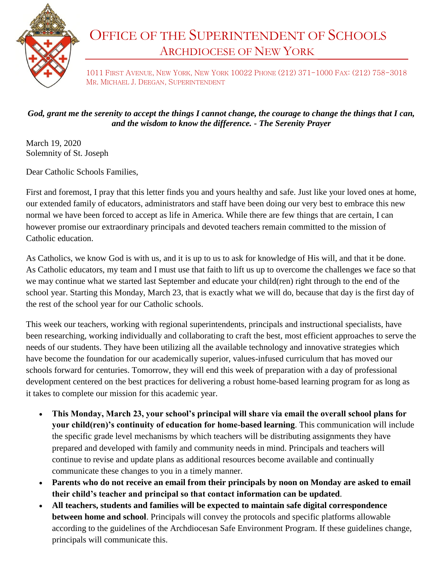

## OFFICE OF THE SUPERINTENDENT OF SCHOOLS ARCHDIOCESE OF NEW YORK

1011 FIRST AVENUE, NEW YORK, NEW YORK 10022 PHONE (212) 371-1000 FAX: (212) 758-3018 MR. MICHAEL J. DEEGAN, SUPERINTENDENT

## *God, grant me the serenity to accept the things I cannot change, the courage to change the things that I can, and the wisdom to know the difference. - The Serenity Prayer*

March 19, 2020 Solemnity of St. Joseph

Dear Catholic Schools Families,

First and foremost, I pray that this letter finds you and yours healthy and safe. Just like your loved ones at home, our extended family of educators, administrators and staff have been doing our very best to embrace this new normal we have been forced to accept as life in America. While there are few things that are certain, I can however promise our extraordinary principals and devoted teachers remain committed to the mission of Catholic education.

As Catholics, we know God is with us, and it is up to us to ask for knowledge of His will, and that it be done. As Catholic educators, my team and I must use that faith to lift us up to overcome the challenges we face so that we may continue what we started last September and educate your child(ren) right through to the end of the school year. Starting this Monday, March 23, that is exactly what we will do, because that day is the first day of the rest of the school year for our Catholic schools.

This week our teachers, working with regional superintendents, principals and instructional specialists, have been researching, working individually and collaborating to craft the best, most efficient approaches to serve the needs of our students. They have been utilizing all the available technology and innovative strategies which have become the foundation for our academically superior, values-infused curriculum that has moved our schools forward for centuries. Tomorrow, they will end this week of preparation with a day of professional development centered on the best practices for delivering a robust home-based learning program for as long as it takes to complete our mission for this academic year.

- **This Monday, March 23, your school's principal will share via email the overall school plans for your child(ren)'s continuity of education for home-based learning**. This communication will include the specific grade level mechanisms by which teachers will be distributing assignments they have prepared and developed with family and community needs in mind. Principals and teachers will continue to revise and update plans as additional resources become available and continually communicate these changes to you in a timely manner.
- **Parents who do not receive an email from their principals by noon on Monday are asked to email their child's teacher and principal so that contact information can be updated**.
- **All teachers, students and families will be expected to maintain safe digital correspondence between home and school**. Principals will convey the protocols and specific platforms allowable according to the guidelines of the Archdiocesan Safe Environment Program. If these guidelines change, principals will communicate this.